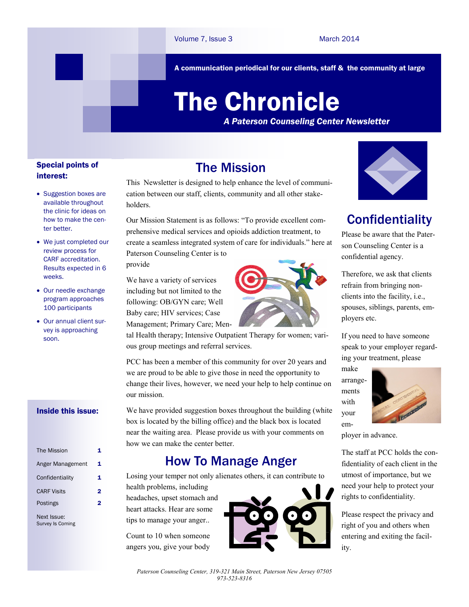A communication periodical for our clients, staff & the community at large

# The Chronicle

*A Paterson Counseling Center Newsletter*

#### Special points of interest:

- Suggestion boxes are available throughout the clinic for ideas on how to make the center better.
- We just completed our review process for CARF accreditation. Results expected in 6 weeks.
- Our needle exchange program approaches 100 participants
- Our annual client survey is approaching soon.

#### Inside this issue:

| The Mission        | 1 |
|--------------------|---|
| Anger Management   | 1 |
| Confidentiality    | 1 |
| <b>CARF Visits</b> | 2 |
| Postings           | 2 |
| Next Issue:        |   |

Survey Is Coming

# The Mission

This Newsletter is designed to help enhance the level of communication between our staff, clients, community and all other stakeholders.

Our Mission Statement is as follows: "To provide excellent comprehensive medical services and opioids addiction treatment, to create a seamless integrated system of care for individuals." here at Paterson Counseling Center is to

provide

We have a variety of services including but not limited to the following: OB/GYN care; Well Baby care; HIV services; Case Management; Primary Care; Men-



tal Health therapy; Intensive Outpatient Therapy for women; various group meetings and referral services.

PCC has been a member of this community for over 20 years and we are proud to be able to give those in need the opportunity to change their lives, however, we need your help to help continue on our mission.

We have provided suggestion boxes throughout the building (white box is located by the billing office) and the black box is located near the waiting area. Please provide us with your comments on how we can make the center better.

# How To Manage Anger

Losing your temper not only alienates others, it can contribute to

health problems, including headaches, upset stomach and heart attacks. Hear are some tips to manage your anger..

Count to 10 when someone angers you, give your body





# **Confidentiality**

Please be aware that the Paterson Counseling Center is a confidential agency.

Therefore, we ask that clients refrain from bringing nonclients into the facility, i.e., spouses, siblings, parents, employers etc.

If you need to have someone speak to your employer regarding your treatment, please

make arrangements with your em-



ployer in advance.

The staff at PCC holds the confidentiality of each client in the utmost of importance, but we need your help to protect your rights to confidentiality.

Please respect the privacy and right of you and others when entering and exiting the facility.

*Paterson Counseling Center, 319-321 Main Street, Paterson New Jersey 07505 973-523-8316*